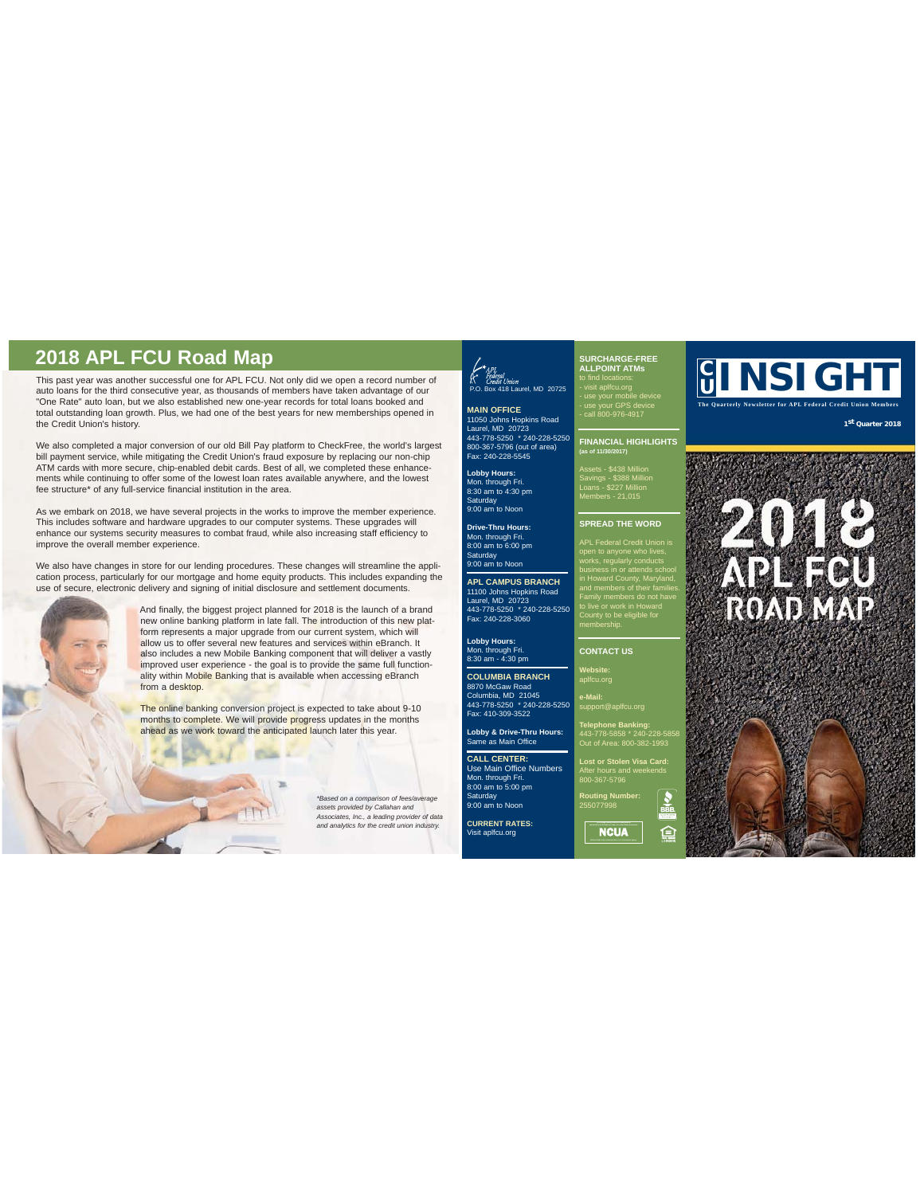This past year was another successful one for APL FCU. Not only did we open a record number of auto loans for the third consecutive year, as thousands of members have taken advantage of our "One Rate" auto loan, but we also established new one-year records for total loans booked and total outstanding loan growth. Plus, we had one of the best years for new memberships opened in the Credit Union's history. **COLORECTER COLORENT ATHER COLORENT ATHER COLORENT ATHER PRESS THE PROPERTY OF THE PALLFONNT ATMS TO THE PALLFOND T ATMS TO THE PALLFOND T ATMS TO THE PALLFOND TATMS TO THE PALLFOND TATMS TO THE PALLFOND TATMS TO THE PALLF** 

We also completed a major conversion of our old Bill Pay platform to CheckFree, the world's largest bill payment service, while mitigating the Credit Union's fraud exposure by replacing our non-chip ATM cards with more secure, chip-enabled debit cards. Best of all, we completed these enhancements while continuing to offer some of the lowest loan rates available anywhere, and the lowest fee structure\* of any full-service financial institution in the area.

As we embark on 2018, we have several projects in the works to improve the member experience. This includes software and hardware upgrades to our computer systems. These upgrades will enhance our systems security measures to combat fraud, while also increasing staff efficiency to improve the overall member experience.

We also have changes in store for our lending procedures. These changes will streamline the application process, particularly for our mortgage and home equity products. This includes expanding the use of secure, electronic delivery and signing of initial disclosure and settlement documents.



And finally, the biggest project planned for 2018 is the launch of a brand new online banking platform in late fall. The introduction of this new platform represents a major upgrade from our current system, which will allow us to offer several new features and services within eBranch. It also includes a new Mobile Banking component that will deliver a vastly improved user experience - the goal is to provide the same full functionality within Mobile Banking that is available when accessing eBranch from a desktop.

The online banking conversion project is expected to take about 9-10 months to complete. We will provide progress updates in the months ahead as we work toward the anticipated launch later this year.

**POS** 

*\*Based on a comparison of fees/average assets provided by Callahan and Associates, Inc., a leading provider of data and analytics for the credit union industry.*

# $\left\{\begin{matrix} \star_{API} \\ \star_{federal} \\ \star_{fcedit \; Union} \end{matrix}\right.$  P.O. Box 418 Laurel, MD 20725

**MAIN OFFICE**<br>11050 Johns Hopkins Road<br>Laurel, MD 20723<br>443-778-5250 \* 240-228-5250<br>800-367-5796 (out of area)<br>Fax: 240-228-5545

**Lobby Hours:**  Mon. through Fri. 8:30 am to 4:30 pm Saturday 9:00 am to Noon

**Drive-Thru Hours:** Mon. through Fri. 8:00 am to 6:00 pm Saturday 9:00 am to Noon

**APL CAMPUS BRANCH** 11100 Johns Hopkins Road Laurel, MD 20723 443-778-5250 \* 240-228-5250 Fax: 240-228-3060

**Lobby Hours:** Mon. through Fri. 8:30 am - 4:30 pm **COLUMBIA BRANCH**

8870 McGaw Road Columbia, MD 21045 443-778-5250 \* 240-228-5250 Fax: 410-309-3522

**Lobby & Drive-Thru Hours:** Same as Main Office **CALL CENTER:** Use Main Office Numbers

Mon. through Fri. 8:00 am to 5:00 pm Saturday 9:00 am to Noon

**CURRENT RATES:** aplfcu.org

# **SURCHARGE-FREE ALLPOINT ATMs** to find locations:

- use your mobile device - use your GPS device - call 800-976-4917

**FINANCIAL HIGHLIGHTS (as of 11/30/2017)**

Assets - \$438 Million Savings - \$388 Million Loans - \$227 Million Members - 21,015

## **SPREAD THE WORD**

APL Federal Credit Union is works, regularly conducts business in or attends school in Howard County, Maryland, and members of their families. Family members do not have to live or work in Howard County to be eligible for membership.

### **CONTACT US**

**Website:**

**e-Mail:** support@aplfcu.org

**Telephone Banking:** 443-778-5858 \* 240-228-5858 Out of Area: 800-382-1993

**Lost or Stolen Visa Card:** 800-367-5796

**Routing Number:** 255077998

**a**<br>NCUA

臼

**The Quarterly Newsletter for APL Federal Credit Union Members**

**1st Quarter 2018**